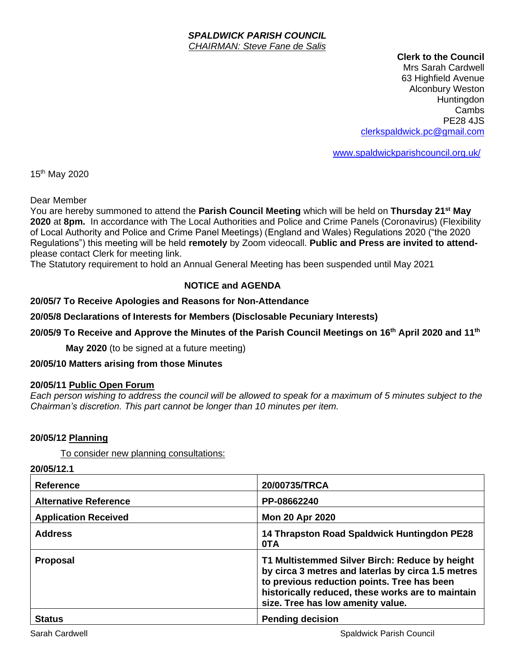#### *SPALDWICK PARISH COUNCIL CHAIRMAN: Steve Fane de Salis*

#### **Clerk to the Council**

Mrs Sarah Cardwell 63 Highfield Avenue Alconbury Weston **Huntingdon** Cambs PE28 4JS [clerkspaldwick.pc@gmail.com](mailto:clerkspaldwick.pc@gmail.com)

[www.spaldwickparishcouncil.org.uk/](http://www.spaldwickparishcouncil.org.uk/)

15 th May 2020

Dear Member

You are hereby summoned to attend the **Parish Council Meeting** which will be held on **Thursday 21st May 2020** at **8pm.** In accordance with The Local Authorities and Police and Crime Panels (Coronavirus) (Flexibility of Local Authority and Police and Crime Panel Meetings) (England and Wales) Regulations 2020 ("the 2020 Regulations") this meeting will be held **remotely** by Zoom videocall. **Public and Press are invited to attend**please contact Clerk for meeting link.

The Statutory requirement to hold an Annual General Meeting has been suspended until May 2021

# **NOTICE and AGENDA**

### **20/05/7 To Receive Apologies and Reasons for Non-Attendance**

#### **20/05/8 Declarations of Interests for Members (Disclosable Pecuniary Interests)**

### **20/05/9 To Receive and Approve the Minutes of the Parish Council Meetings on 16th April 2020 and 11th**

 **May 2020** (to be signed at a future meeting)

#### **20/05/10 Matters arising from those Minutes**

#### **20/05/11 Public Open Forum**

*Each person wishing to address the council will be allowed to speak for a maximum of 5 minutes subject to the Chairman's discretion. This part cannot be longer than 10 minutes per item.* 

### **20/05/12 Planning**

To consider new planning consultations:

| 20/05/12.1                   |                                                                                                                                                                                                                                               |
|------------------------------|-----------------------------------------------------------------------------------------------------------------------------------------------------------------------------------------------------------------------------------------------|
| <b>Reference</b>             | 20/00735/TRCA                                                                                                                                                                                                                                 |
| <b>Alternative Reference</b> | PP-08662240                                                                                                                                                                                                                                   |
| <b>Application Received</b>  | <b>Mon 20 Apr 2020</b>                                                                                                                                                                                                                        |
| <b>Address</b>               | 14 Thrapston Road Spaldwick Huntingdon PE28<br>0TA                                                                                                                                                                                            |
| <b>Proposal</b>              | T1 Multistemmed Silver Birch: Reduce by height<br>by circa 3 metres and laterlas by circa 1.5 metres<br>to previous reduction points. Tree has been<br>historically reduced, these works are to maintain<br>size. Tree has low amenity value. |
| <b>Status</b>                | <b>Pending decision</b>                                                                                                                                                                                                                       |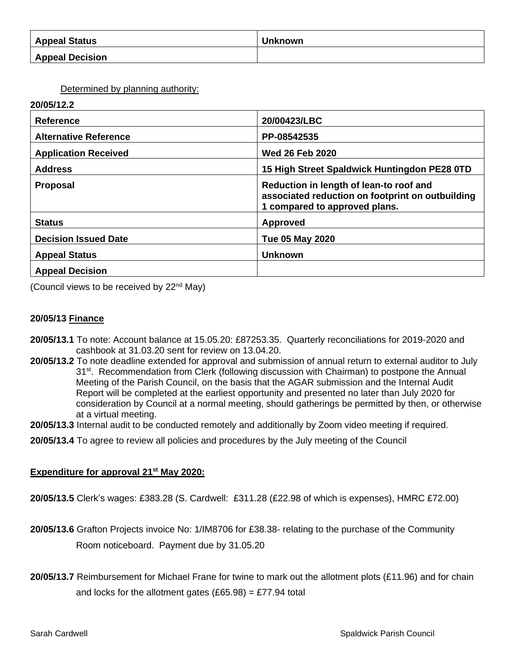| <b>Appeal Status</b>   | <b>Unknown</b> |
|------------------------|----------------|
| <b>Appeal Decision</b> |                |

Determined by planning authority:

| 20/05/12.2                   |                                                                                                                              |
|------------------------------|------------------------------------------------------------------------------------------------------------------------------|
| <b>Reference</b>             | 20/00423/LBC                                                                                                                 |
| <b>Alternative Reference</b> | PP-08542535                                                                                                                  |
| <b>Application Received</b>  | <b>Wed 26 Feb 2020</b>                                                                                                       |
| <b>Address</b>               | 15 High Street Spaldwick Huntingdon PE28 0TD                                                                                 |
| <b>Proposal</b>              | Reduction in length of lean-to roof and<br>associated reduction on footprint on outbuilding<br>1 compared to approved plans. |
| <b>Status</b>                | Approved                                                                                                                     |
| <b>Decision Issued Date</b>  | <b>Tue 05 May 2020</b>                                                                                                       |
| <b>Appeal Status</b>         | <b>Unknown</b>                                                                                                               |
| <b>Appeal Decision</b>       |                                                                                                                              |

(Council views to be received by  $22<sup>nd</sup>$  May)

### **20/05/13 Finance**

- **20/05/13.1** To note: Account balance at 15.05.20: £87253.35. Quarterly reconciliations for 2019-2020 and cashbook at 31.03.20 sent for review on 13.04.20.
- **20/05/13.2** To note deadline extended for approval and submission of annual return to external auditor to July 31<sup>st</sup>. Recommendation from Clerk (following discussion with Chairman) to postpone the Annual Meeting of the Parish Council, on the basis that the AGAR submission and the Internal Audit Report will be completed at the earliest opportunity and presented no later than July 2020 for consideration by Council at a normal meeting, should gatherings be permitted by then, or otherwise at a virtual meeting.
- **20/05/13.3** Internal audit to be conducted remotely and additionally by Zoom video meeting if required.
- **20/05/13.4** To agree to review all policies and procedures by the July meeting of the Council

### **Expenditure for approval 21st May 2020:**

**20/05/13.5** Clerk's wages: £383.28 (S. Cardwell: £311.28 (£22.98 of which is expenses), HMRC £72.00)

- **20/05/13.6** Grafton Projects invoice No: 1/IM8706 for £38.38- relating to the purchase of the Community Room noticeboard. Payment due by 31.05.20
- **20/05/13.7** Reimbursement for Michael Frane for twine to mark out the allotment plots (£11.96) and for chain and locks for the allotment gates  $(E65.98) = E77.94$  total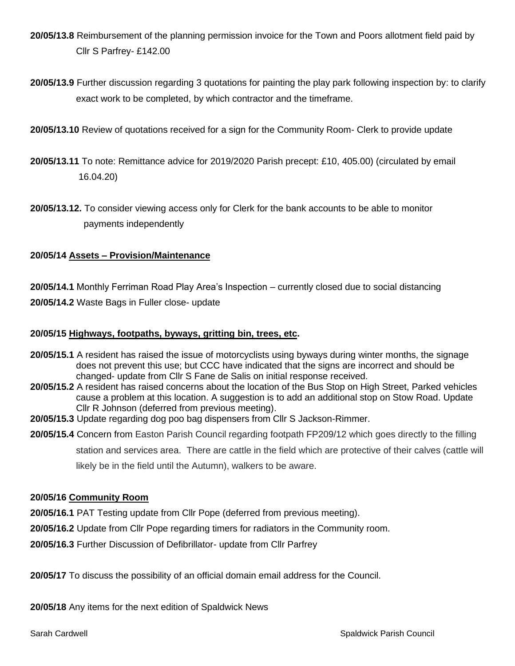- **20/05/13.8** Reimbursement of the planning permission invoice for the Town and Poors allotment field paid by Cllr S Parfrey- £142.00
- **20/05/13.9** Further discussion regarding 3 quotations for painting the play park following inspection by: to clarify exact work to be completed, by which contractor and the timeframe.
- **20/05/13.10** Review of quotations received for a sign for the Community Room- Clerk to provide update
- **20/05/13.11** To note: Remittance advice for 2019/2020 Parish precept: £10, 405.00) (circulated by email 16.04.20)
- **20/05/13.12.** To consider viewing access only for Clerk for the bank accounts to be able to monitor payments independently

# **20/05/14 Assets – Provision/Maintenance**

**20/05/14.1** Monthly Ferriman Road Play Area's Inspection – currently closed due to social distancing **20/05/14.2** Waste Bags in Fuller close- update

## **20/05/15 Highways, footpaths, byways, gritting bin, trees, etc.**

- **20/05/15.1** A resident has raised the issue of motorcyclists using byways during winter months, the signage does not prevent this use; but CCC have indicated that the signs are incorrect and should be changed- update from Cllr S Fane de Salis on initial response received.
- **20/05/15.2** A resident has raised concerns about the location of the Bus Stop on High Street, Parked vehicles cause a problem at this location. A suggestion is to add an additional stop on Stow Road. Update Cllr R Johnson (deferred from previous meeting).
- **20/05/15.3** Update regarding dog poo bag dispensers from Cllr S Jackson-Rimmer.
- **20/05/15.4** Concern from Easton Parish Council regarding footpath FP209/12 which goes directly to the filling station and services area. There are cattle in the field which are protective of their calves (cattle will likely be in the field until the Autumn), walkers to be aware.

### **20/05/16 Community Room**

**20/05/16.1** PAT Testing update from Cllr Pope (deferred from previous meeting).

**20/05/16.2** Update from Cllr Pope regarding timers for radiators in the Community room.

**20/05/16.3** Further Discussion of Defibrillator- update from Cllr Parfrey

**20/05/17** To discuss the possibility of an official domain email address for the Council.

**20/05/18** Any items for the next edition of Spaldwick News